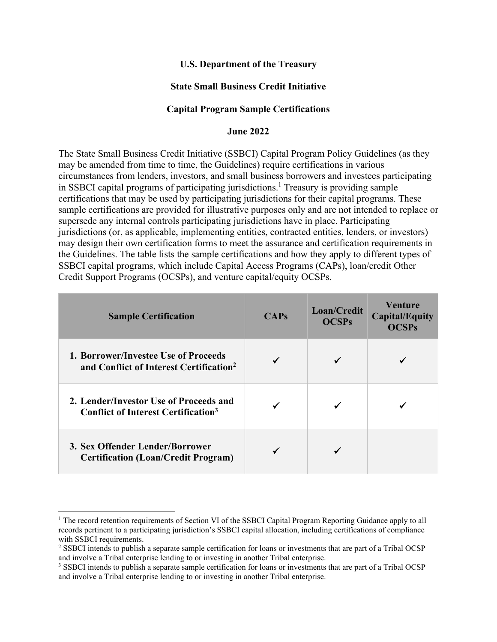### **U.S. Department of the Treasury**

### **State Small Business Credit Initiative**

#### **Capital Program Sample Certifications**

#### **June 2022**

The State Small Business Credit Initiative (SSBCI) Capital Program Policy Guidelines (as they may be amended from time to time, the Guidelines) require certifications in various circumstances from lenders, investors, and small business borrowers and investees participating in SSBCI capital programs of participating jurisdictions.<sup>1</sup> Treasury is providing sample certifications that may be used by participating jurisdictions for their capital programs. These sample certifications are provided for illustrative purposes only and are not intended to replace or supersede any internal controls participating jurisdictions have in place. Participating jurisdictions (or, as applicable, implementing entities, contracted entities, lenders, or investors) may design their own certification forms to meet the assurance and certification requirements in the Guidelines. The table lists the sample certifications and how they apply to different types of SSBCI capital programs, which include Capital Access Programs (CAPs), loan/credit Other Credit Support Programs (OCSPs), and venture capital/equity OCSPs.

| <b>Sample Certification</b>                                                                     | <b>CAPs</b> | Loan/Credit<br><b>OCSPs</b> | <b>Venture</b><br><b>Capital/Equity</b><br><b>OCSPs</b> |
|-------------------------------------------------------------------------------------------------|-------------|-----------------------------|---------------------------------------------------------|
| 1. Borrower/Investee Use of Proceeds<br>and Conflict of Interest Certification <sup>2</sup>     |             |                             |                                                         |
| 2. Lender/Investor Use of Proceeds and<br><b>Conflict of Interest Certification<sup>3</sup></b> |             |                             |                                                         |
| 3. Sex Offender Lender/Borrower<br><b>Certification (Loan/Credit Program)</b>                   |             |                             |                                                         |

<sup>&</sup>lt;sup>1</sup> The record retention requirements of Section VI of the SSBCI Capital Program Reporting Guidance apply to all records pertinent to a participating jurisdiction's SSBCI capital allocation, including certifications of compliance with SSBCI requirements.

<sup>2</sup> SSBCI intends to publish a separate sample certification for loans or investments that are part of a Tribal OCSP and involve a Tribal enterprise lending to or investing in another Tribal enterprise. 3

<sup>&</sup>lt;sup>3</sup> SSBCI intends to publish a separate sample certification for loans or investments that are part of a Tribal OCSP and involve a Tribal enterprise lending to or investing in another Tribal enterprise.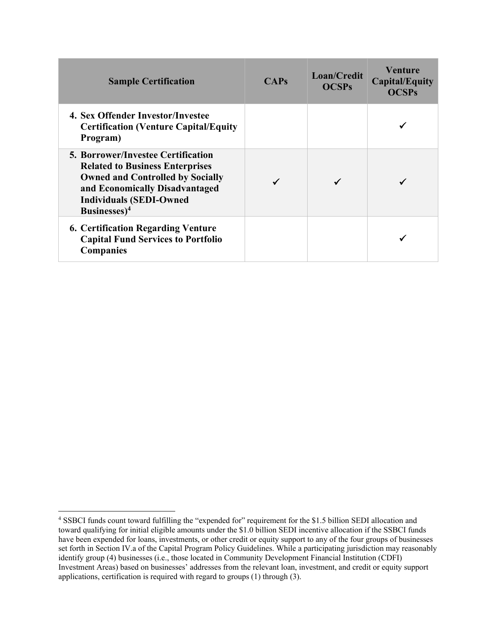| <b>Sample Certification</b>                                                                                                                                                                                                    | <b>CAPs</b> | Loan/Credit<br><b>OCSPs</b> | Venture<br><b>Capital/Equity</b><br><b>OCSPs</b> |
|--------------------------------------------------------------------------------------------------------------------------------------------------------------------------------------------------------------------------------|-------------|-----------------------------|--------------------------------------------------|
| 4. Sex Offender Investor/Investee<br><b>Certification (Venture Capital/Equity)</b><br>Program)                                                                                                                                 |             |                             |                                                  |
| <b>5. Borrower/Investee Certification</b><br><b>Related to Business Enterprises</b><br><b>Owned and Controlled by Socially</b><br>and Economically Disadvantaged<br><b>Individuals (SEDI-Owned</b><br>Businesses) <sup>4</sup> |             |                             |                                                  |
| <b>6. Certification Regarding Venture</b><br><b>Capital Fund Services to Portfolio</b><br><b>Companies</b>                                                                                                                     |             |                             |                                                  |

<sup>4</sup> SSBCI funds count toward fulfilling the "expended for" requirement for the \$1.5 billion SEDI allocation and toward qualifying for initial eligible amounts under the \$1.0 billion SEDI incentive allocation if the SSBCI funds have been expended for loans, investments, or other credit or equity support to any of the four groups of businesses set forth in Section IV.a of the Capital Program Policy Guidelines. While a participating jurisdiction may reasonably identify group (4) businesses (i.e., those located in Community Development Financial Institution (CDFI) Investment Areas) based on businesses' addresses from the relevant loan, investment, and credit or equity support applications, certification is required with regard to groups (1) through (3).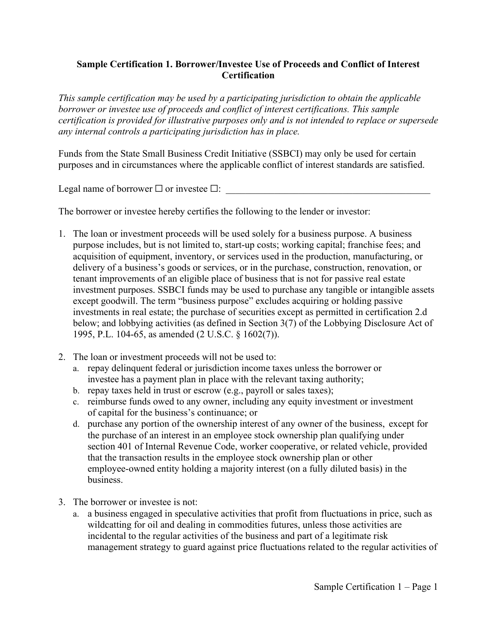# **Sample Certification 1. Borrower/Investee Use of Proceeds and Conflict of Interest Certification**

*This sample certification may be used by a participating jurisdiction to obtain the applicable borrower or investee use of proceeds and conflict of interest certifications. This sample certification is provided for illustrative purposes only and is not intended to replace or supersede any internal controls a participating jurisdiction has in place.* 

Funds from the State Small Business Credit Initiative (SSBCI) may only be used for certain purposes and in circumstances where the applicable conflict of interest standards are satisfied.

Legal name of borrower  $\Box$  or investee  $\Box$ :

The borrower or investee hereby certifies the following to the lender or investor:

- 1. The loan or investment proceeds will be used solely for a business purpose. A business purpose includes, but is not limited to, start-up costs; working capital; franchise fees; and acquisition of equipment, inventory, or services used in the production, manufacturing, or delivery of a business's goods or services, or in the purchase, construction, renovation, or tenant improvements of an eligible place of business that is not for passive real estate investment purposes. SSBCI funds may be used to purchase any tangible or intangible assets except goodwill. The term "business purpose" excludes acquiring or holding passive investments in real estate; the purchase of securities except as permitted in certification 2.d below; and lobbying activities (as defined in Section 3(7) of the Lobbying Disclosure Act of 1995, P.L. 104-65, as amended (2 U.S.C. § 1602(7)).
- 2. The loan or investment proceeds will not be used to:
	- a. repay delinquent federal or jurisdiction income taxes unless the borrower or investee has a payment plan in place with the relevant taxing authority;
	- b. repay taxes held in trust or escrow (e.g., payroll or sales taxes);
	- c. reimburse funds owed to any owner, including any equity investment or investment of capital for the business's continuance; or
	- d. purchase any portion of the ownership interest of any owner of the business, except for the purchase of an interest in an employee stock ownership plan qualifying under section 401 of Internal Revenue Code, worker cooperative, or related vehicle, provided that the transaction results in the employee stock ownership plan or other employee-owned entity holding a majority interest (on a fully diluted basis) in the business.
- 3. The borrower or investee is not:
	- a. a business engaged in speculative activities that profit from fluctuations in price, such as wildcatting for oil and dealing in commodities futures, unless those activities are incidental to the regular activities of the business and part of a legitimate risk management strategy to guard against price fluctuations related to the regular activities of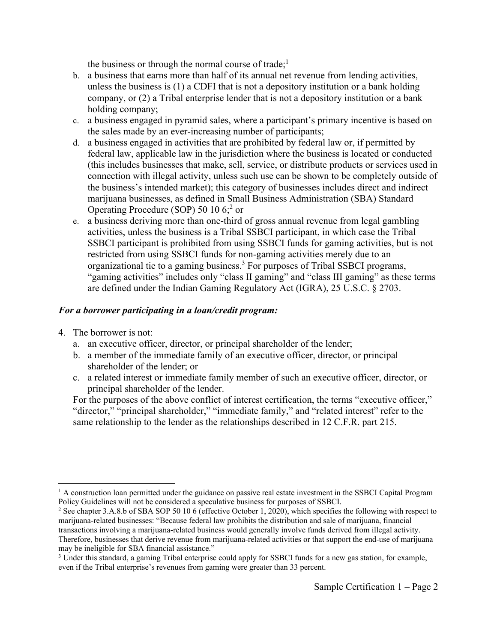the business or through the normal course of trade;<sup>1</sup>

- b. a business that earns more than half of its annual net revenue from lending activities, unless the business is (1) a CDFI that is not a depository institution or a bank holding company, or (2) a Tribal enterprise lender that is not a depository institution or a bank holding company;
- c. a business engaged in pyramid sales, where a participant's primary incentive is based on the sales made by an ever-increasing number of participants;
- d. a business engaged in activities that are prohibited by federal law or, if permitted by federal law, applicable law in the jurisdiction where the business is located or conducted (this includes businesses that make, sell, service, or distribute products or services used in connection with illegal activity, unless such use can be shown to be completely outside of the business's intended market); this category of businesses includes direct and indirect marijuana businesses, as defined in Small Business Administration (SBA) Standard Operating Procedure (SOP) 50 10 6;<sup>2</sup> or
- e. a business deriving more than one-third of gross annual revenue from legal gambling activities, unless the business is a Tribal SSBCI participant, in which case the Tribal SSBCI participant is prohibited from using SSBCI funds for gaming activities, but is not restricted from using SSBCI funds for non-gaming activities merely due to an organizational tie to a gaming business.<sup>3</sup> For purposes of Tribal SSBCI programs, "gaming activities" includes only "class II gaming" and "class III gaming" as these terms are defined under the Indian Gaming Regulatory Act (IGRA), 25 U.S.C. § 2703.

# *For a borrower participating in a loan/credit program:*

- 4. The borrower is not:
	- a. an executive officer, director, or principal shareholder of the lender;
	- b. a member of the immediate family of an executive officer, director, or principal shareholder of the lender; or
	- c. a related interest or immediate family member of such an executive officer, director, or principal shareholder of the lender.

For the purposes of the above conflict of interest certification, the terms "executive officer," "director," "principal shareholder," "immediate family," and "related interest" refer to the same relationship to the lender as the relationships described in 12 C.F.R. part 215.

<sup>&</sup>lt;sup>1</sup> A construction loan permitted under the guidance on passive real estate investment in the SSBCI Capital Program Policy Guidelines will not be considered a speculative business for purposes of SSBCI. 2

<sup>&</sup>lt;sup>2</sup> See chapter 3.A.8.b of SBA SOP 50 10 6 (effective October 1, 2020), which specifies the following with respect to marijuana-related businesses: "Because federal law prohibits the distribution and sale of marijuana, financial transactions involving a marijuana-related business would generally involve funds derived from illegal activity. Therefore, businesses that derive revenue from marijuana-related activities or that support the end-use of marijuana may be ineligible for SBA financial assistance."

<sup>&</sup>lt;sup>3</sup> Under this standard, a gaming Tribal enterprise could apply for SSBCI funds for a new gas station, for example, even if the Tribal enterprise's revenues from gaming were greater than 33 percent.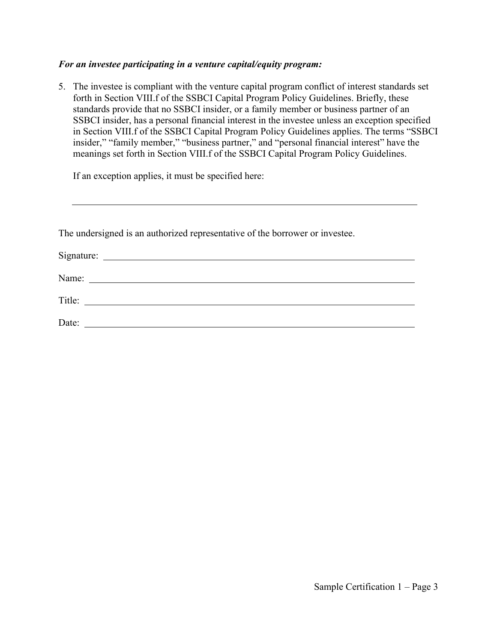#### *For an investee participating in a venture capital/equity program:*

5. The investee is compliant with the venture capital program conflict of interest standards set forth in Section VIII.f of the SSBCI Capital Program Policy Guidelines. Briefly, these standards provide that no SSBCI insider, or a family member or business partner of an SSBCI insider, has a personal financial interest in the investee unless an exception specified in Section VIII.f of the SSBCI Capital Program Policy Guidelines applies. The terms "SSBCI insider," "family member," "business partner," and "personal financial interest" have the meanings set forth in Section VIII.f of the SSBCI Capital Program Policy Guidelines.

If an exception applies, it must be specified here:

| The undersigned is an authorized representative of the borrower or investee. |  |
|------------------------------------------------------------------------------|--|
|                                                                              |  |

| Name:  |  |  |
|--------|--|--|
| Title: |  |  |
| Date:  |  |  |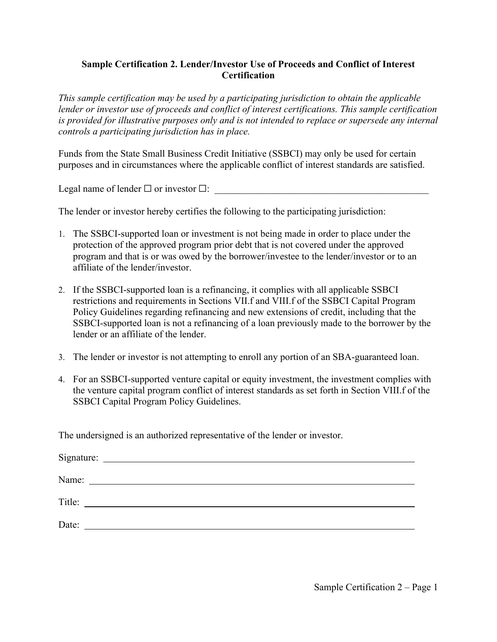## **Sample Certification 2. Lender/Investor Use of Proceeds and Conflict of Interest Certification**

*This sample certification may be used by a participating jurisdiction to obtain the applicable lender or investor use of proceeds and conflict of interest certifications. This sample certification is provided for illustrative purposes only and is not intended to replace or supersede any internal controls a participating jurisdiction has in place.* 

Funds from the State Small Business Credit Initiative (SSBCI) may only be used for certain purposes and in circumstances where the applicable conflict of interest standards are satisfied.

Legal name of lender  $\Box$  or investor  $\Box$ :

The lender or investor hereby certifies the following to the participating jurisdiction:

- 1. The SSBCI-supported loan or investment is not being made in order to place under the protection of the approved program prior debt that is not covered under the approved program and that is or was owed by the borrower/investee to the lender/investor or to an affiliate of the lender/investor.
- 2. If the SSBCI-supported loan is a refinancing, it complies with all applicable SSBCI restrictions and requirements in Sections VII.f and VIII.f of the SSBCI Capital Program Policy Guidelines regarding refinancing and new extensions of credit, including that the SSBCI-supported loan is not a refinancing of a loan previously made to the borrower by the lender or an affiliate of the lender.
- 3. The lender or investor is not attempting to enroll any portion of an SBA-guaranteed loan.
- 4. For an SSBCI-supported venture capital or equity investment, the investment complies with the venture capital program conflict of interest standards as set forth in Section VIII.f of the SSBCI Capital Program Policy Guidelines.

The undersigned is an authorized representative of the lender or investor.

|        | Name:                                                       |  |  |
|--------|-------------------------------------------------------------|--|--|
| Title: | <u> 1989 - Andrea Stadt Britain, amerikansk politiker (</u> |  |  |
| Date:  | <u> 1989 - Andrea State Barbara, política establece</u>     |  |  |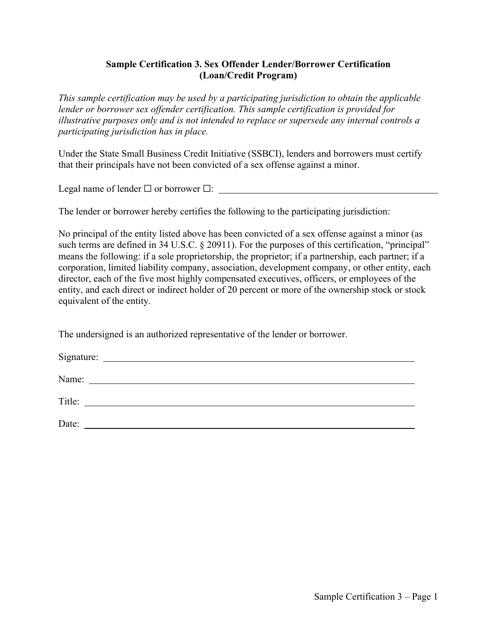## **Sample Certification 3. Sex Offender Lender/Borrower Certification (Loan/Credit Program)**

*This sample certification may be used by a participating jurisdiction to obtain the applicable lender or borrower sex offender certification. This sample certification is provided for illustrative purposes only and is not intended to replace or supersede any internal controls a participating jurisdiction has in place.* 

Under the State Small Business Credit Initiative (SSBCI), lenders and borrowers must certify that their principals have not been convicted of a sex offense against a minor.

Legal name of lender  $\Box$  or borrower  $\Box$ :

The lender or borrower hereby certifies the following to the participating jurisdiction:

No principal of the entity listed above has been convicted of a sex offense against a minor (as such terms are defined in 34 U.S.C. § 20911). For the purposes of this certification, "principal" means the following: if a sole proprietorship, the proprietor; if a partnership, each partner; if a corporation, limited liability company, association, development company, or other entity, each director, each of the five most highly compensated executives, officers, or employees of the entity, and each direct or indirect holder of 20 percent or more of the ownership stock or stock equivalent of the entity.

The undersigned is an authorized representative of the lender or borrower.

| Signature: | <u> 1989 - Andrea State Barbara, política establece</u>                                                              |  |  |
|------------|----------------------------------------------------------------------------------------------------------------------|--|--|
| Name:      | <u> 1980 - Jan Samuel Barbara, martin da shekara 1980 - An tsara 1980 - An tsara 1980 - An tsara 1980 - An tsara</u> |  |  |
| Title:     | <u> 1989 - Jan Samuel Barbara, margaret e</u>                                                                        |  |  |
| Date:      |                                                                                                                      |  |  |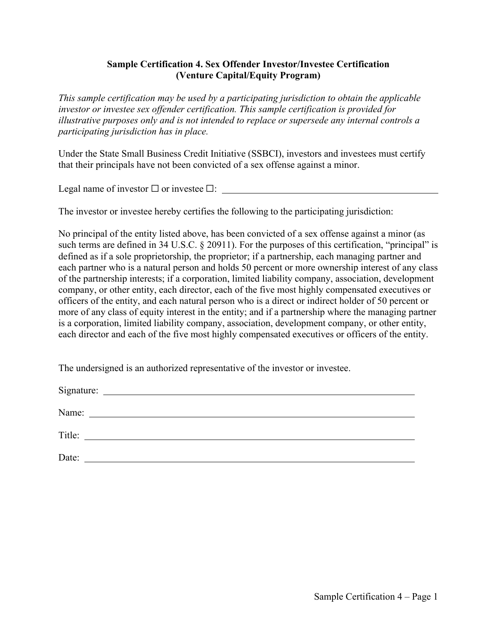## **Sample Certification 4. Sex Offender Investor/Investee Certification (Venture Capital/Equity Program)**

*This sample certification may be used by a participating jurisdiction to obtain the applicable investor or investee sex offender certification. This sample certification is provided for illustrative purposes only and is not intended to replace or supersede any internal controls a participating jurisdiction has in place.* 

Under the State Small Business Credit Initiative (SSBCI), investors and investees must certify that their principals have not been convicted of a sex offense against a minor.

Legal name of investor  $\Box$  or investee  $\Box$ :

The investor or investee hereby certifies the following to the participating jurisdiction:

No principal of the entity listed above, has been convicted of a sex offense against a minor (as such terms are defined in 34 U.S.C. § 20911). For the purposes of this certification, "principal" is defined as if a sole proprietorship, the proprietor; if a partnership, each managing partner and each partner who is a natural person and holds 50 percent or more ownership interest of any class of the partnership interests; if a corporation, limited liability company, association, development company, or other entity, each director, each of the five most highly compensated executives or officers of the entity, and each natural person who is a direct or indirect holder of 50 percent or more of any class of equity interest in the entity; and if a partnership where the managing partner is a corporation, limited liability company, association, development company, or other entity, each director and each of the five most highly compensated executives or officers of the entity.

The undersigned is an authorized representative of the investor or investee.

Signature: Signature:  $\frac{1}{2}$  is the set of  $\frac{1}{2}$  is the set of  $\frac{1}{2}$  is the set of  $\frac{1}{2}$  is the set of  $\frac{1}{2}$  is the set of  $\frac{1}{2}$  is the set of  $\frac{1}{2}$  is the set of  $\frac{1}{2}$  is the set of  $\frac{1}{2}$ 

Name:

Title:

Date: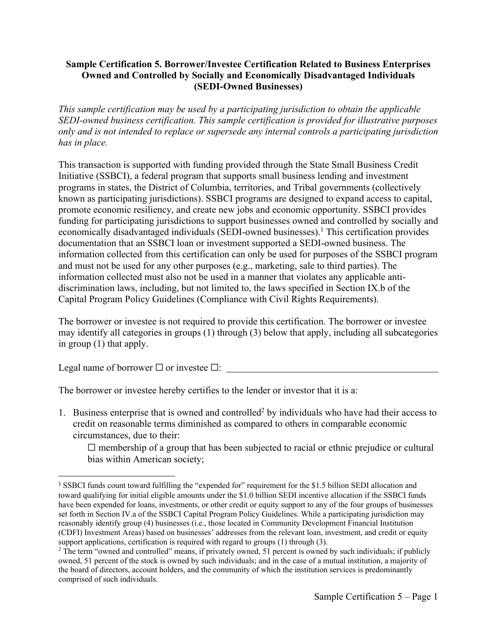# **Sample Certification 5. Borrower/Investee Certification Related to Business Enterprises Owned and Controlled by Socially and Economically Disadvantaged Individuals (SEDI-Owned Businesses)**

*This sample certification may be used by a participating jurisdiction to obtain the applicable SEDI-owned business certification. This sample certification is provided for illustrative purposes only and is not intended to replace or supersede any internal controls a participating jurisdiction has in place.* 

This transaction is supported with funding provided through the State Small Business Credit Initiative (SSBCI), a federal program that supports small business lending and investment programs in states, the District of Columbia, territories, and Tribal governments (collectively known as participating jurisdictions). SSBCI programs are designed to expand access to capital, promote economic resiliency, and create new jobs and economic opportunity. SSBCI provides funding for participating jurisdictions to support businesses owned and controlled by socially and economically disadvantaged individuals (SEDI-owned businesses).<sup>1</sup> This certification provides documentation that an SSBCI loan or investment supported a SEDI-owned business. The information collected from this certification can only be used for purposes of the SSBCI program and must not be used for any other purposes (e.g., marketing, sale to third parties). The information collected must also not be used in a manner that violates any applicable antidiscrimination laws, including, but not limited to, the laws specified in Section IX.b of the Capital Program Policy Guidelines (Compliance with Civil Rights Requirements).

The borrower or investee is not required to provide this certification. The borrower or investee may identify all categories in groups (1) through (3) below that apply, including all subcategories in group (1) that apply.

Legal name of borrower  $\Box$  or investee  $\Box$ :

The borrower or investee hereby certifies to the lender or investor that it is a:

1. Business enterprise that is owned and controlled<sup>2</sup> by individuals who have had their access to credit on reasonable terms diminished as compared to others in comparable economic circumstances, due to their:

 $\Box$  membership of a group that has been subjected to racial or ethnic prejudice or cultural bias within American society;

<sup>&</sup>lt;sup>1</sup> SSBCI funds count toward fulfilling the "expended for" requirement for the \$1.5 billion SEDI allocation and toward qualifying for initial eligible amounts under the \$1.0 billion SEDI incentive allocation if the SSBCI funds have been expended for loans, investments, or other credit or equity support to any of the four groups of businesses set forth in Section IV.a of the SSBCI Capital Program Policy Guidelines. While a participating jurisdiction may reasonably identify group (4) businesses (i.e., those located in Community Development Financial Institution (CDFI) Investment Areas) based on businesses' addresses from the relevant loan, investment, and credit or equity support applications, certification is required with regard to groups (1) through (3).

<sup>&</sup>lt;sup>2</sup> The term "owned and controlled" means, if privately owned, 51 percent is owned by such individuals; if publicly owned, 51 percent of the stock is owned by such individuals; and in the case of a mutual institution, a majority of the board of directors, account holders, and the community of which the institution services is predominantly comprised of such individuals.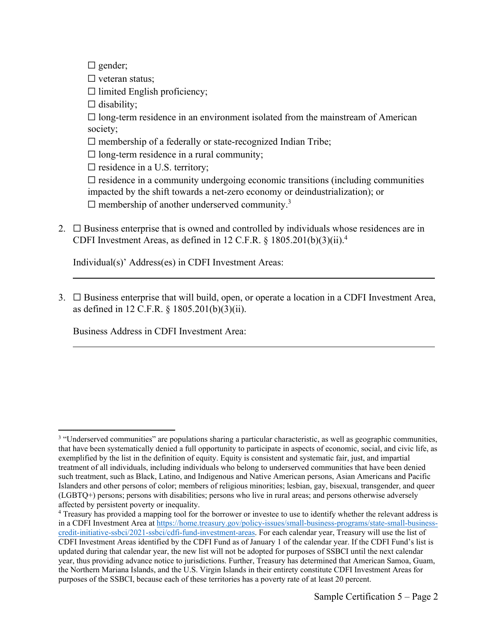□ gender;

 $\Box$  veteran status;

 $\Box$  limited English proficiency;

 $\Box$  disability;

 $\Box$  long-term residence in an environment isolated from the mainstream of American society;

 $\square$  membership of a federally or state-recognized Indian Tribe;

 $\Box$  long-term residence in a rural community;

 $\square$  residence in a U.S. territory;

 $\Box$  residence in a community undergoing economic transitions (including communities impacted by the shift towards a net-zero economy or deindustrialization); or

 $\Box$  membership of another underserved community.<sup>3</sup>

2.  $\Box$  Business enterprise that is owned and controlled by individuals whose residences are in CDFI Investment Areas, as defined in 12 C.F.R.  $\S$  1805.201(b)(3)(ii).<sup>4</sup>

Individual(s)' Address(es) in CDFI Investment Areas:

3.  $\Box$  Business enterprise that will build, open, or operate a location in a CDFI Investment Area, as defined in 12 C.F.R. § 1805.201(b)(3)(ii).

Business Address in CDFI Investment Area:

<sup>&</sup>lt;sup>3</sup> "Underserved communities" are populations sharing a particular characteristic, as well as geographic communities, that have been systematically denied a full opportunity to participate in aspects of economic, social, and civic life, as exemplified by the list in the definition of equity. Equity is consistent and systematic fair, just, and impartial treatment of all individuals, including individuals who belong to underserved communities that have been denied such treatment, such as Black, Latino, and Indigenous and Native American persons, Asian Americans and Pacific Islanders and other persons of color; members of religious minorities; lesbian, gay, bisexual, transgender, and queer (LGBTQ+) persons; persons with disabilities; persons who live in rural areas; and persons otherwise adversely affected by persistent poverty or inequality.

<sup>&</sup>lt;sup>4</sup> Treasury has provided a mapping tool for the borrower or investee to use to identify whether the relevant address is in a CDFI Investment Area at https://home.treasury.gov/policy-issues/small-business-programs/state-small-businesscredit-initiative-ssbci/2021-ssbci/cdfi-fund-investment-areas. For each calendar year, Treasury will use the list of CDFI Investment Areas identified by the CDFI Fund as of January 1 of the calendar year. If the CDFI Fund's list is updated during that calendar year, the new list will not be adopted for purposes of SSBCI until the next calendar year, thus providing advance notice to jurisdictions. Further, Treasury has determined that American Samoa, Guam, the Northern Mariana Islands, and the U.S. Virgin Islands in their entirety constitute CDFI Investment Areas for purposes of the SSBCI, because each of these territories has a poverty rate of at least 20 percent.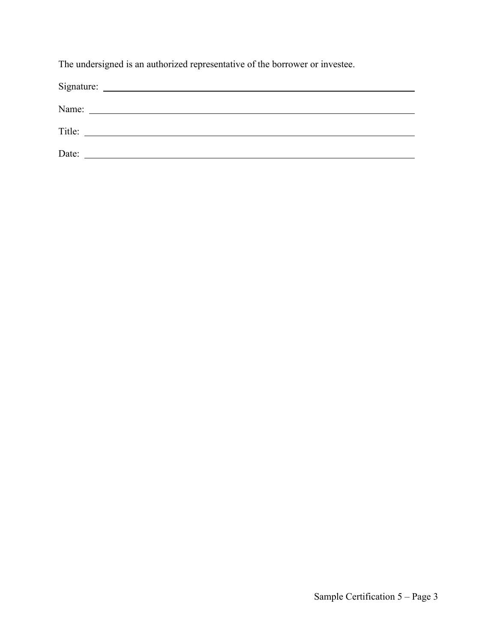The undersigned is an authorized representative of the borrower or investee.

| Signature: | <u> 1989 - Andrea Station Barbara, amerikan per</u>   |  |
|------------|-------------------------------------------------------|--|
| Name:      | <u> 1989 - Johann Stein, fransk politik (d. 1989)</u> |  |
| Title:     | <u> 1980 - Jan Sterling von Berger († 1900)</u>       |  |
| Date:      |                                                       |  |